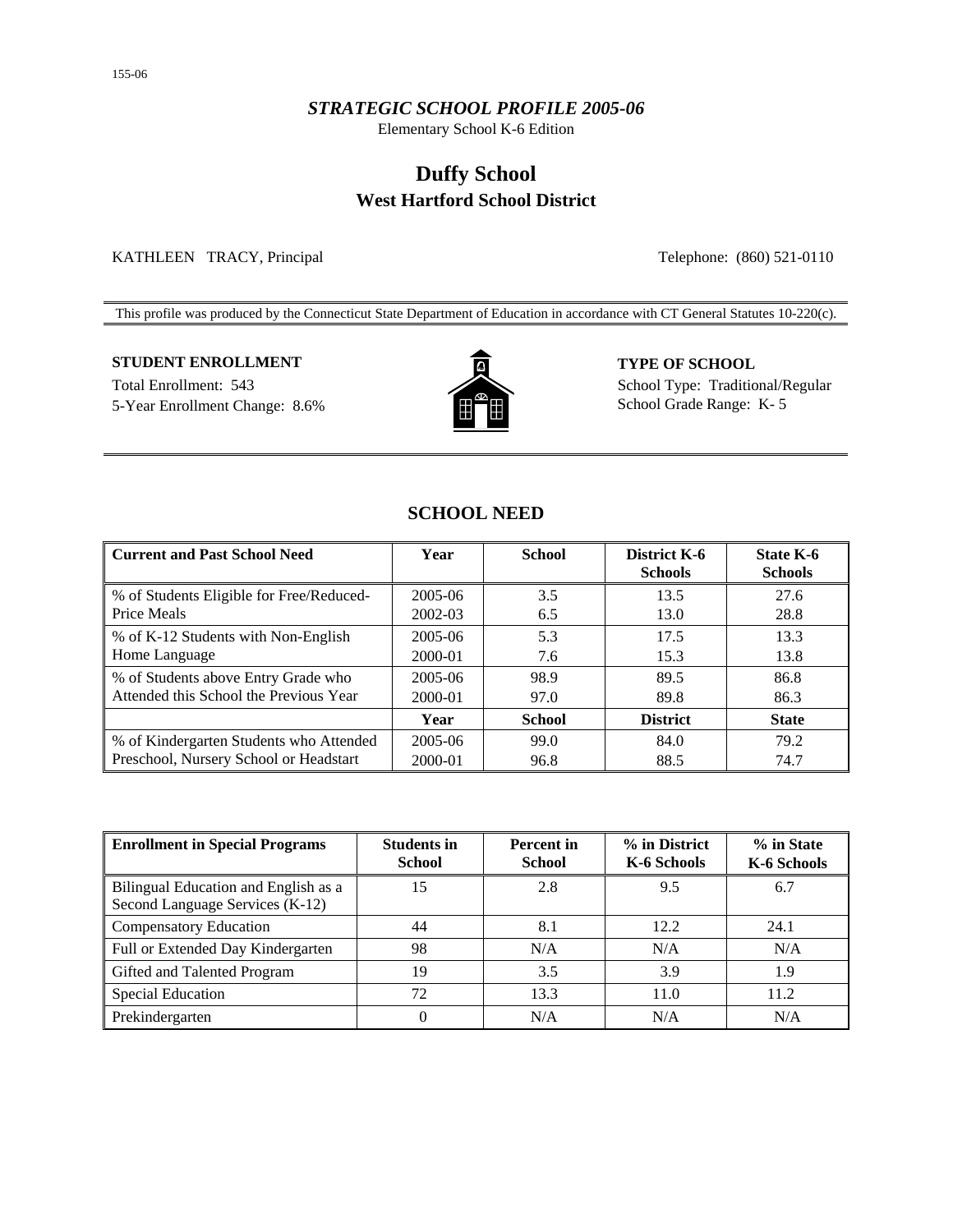## *STRATEGIC SCHOOL PROFILE 2005-06*

Elementary School K-6 Edition

# **Duffy School West Hartford School District**

KATHLEEN TRACY, Principal Telephone: (860) 521-0110

This profile was produced by the Connecticut State Department of Education in accordance with CT General Statutes 10-220(c).

## **STUDENT ENROLLMENT TYPE OF SCHOOL**

5-Year Enrollment Change: 8.6% **School Grade Range: K-5** School Grade Range: K-5



Total Enrollment: 543 School Type: Traditional/Regular

## **SCHOOL NEED**

| <b>Current and Past School Need</b>      | Year    | <b>School</b> | District K-6<br><b>Schools</b> | <b>State K-6</b><br><b>Schools</b> |
|------------------------------------------|---------|---------------|--------------------------------|------------------------------------|
| % of Students Eligible for Free/Reduced- | 2005-06 | 3.5           | 13.5                           | 27.6                               |
| Price Meals                              | 2002-03 | 6.5           | 13.0                           | 28.8                               |
| % of K-12 Students with Non-English      | 2005-06 | 5.3           | 17.5                           | 13.3                               |
| Home Language                            | 2000-01 | 7.6           | 15.3                           | 13.8                               |
| % of Students above Entry Grade who      | 2005-06 | 98.9          | 89.5                           | 86.8                               |
| Attended this School the Previous Year   | 2000-01 | 97.0          | 89.8                           | 86.3                               |
|                                          | Year    | <b>School</b> | <b>District</b>                | <b>State</b>                       |
| % of Kindergarten Students who Attended  | 2005-06 | 99.0          | 84.0                           | 79.2                               |
| Preschool, Nursery School or Headstart   | 2000-01 | 96.8          | 88.5                           | 74.7                               |

| <b>Enrollment in Special Programs</b>                                   | <b>Students in</b><br><b>School</b> | <b>Percent</b> in<br><b>School</b> | % in District<br>K-6 Schools | % in State<br>K-6 Schools |
|-------------------------------------------------------------------------|-------------------------------------|------------------------------------|------------------------------|---------------------------|
| Bilingual Education and English as a<br>Second Language Services (K-12) | 15                                  | 2.8                                | 9.5                          | 6.7                       |
| <b>Compensatory Education</b>                                           | 44                                  | 8.1                                | 12.2                         | 24.1                      |
| Full or Extended Day Kindergarten                                       | 98                                  | N/A                                | N/A                          | N/A                       |
| Gifted and Talented Program                                             | 19                                  | 3.5                                | 3.9                          | 1.9                       |
| <b>Special Education</b>                                                | 72                                  | 13.3                               | 11.0                         | 11.2                      |
| Prekindergarten                                                         | 0                                   | N/A                                | N/A                          | N/A                       |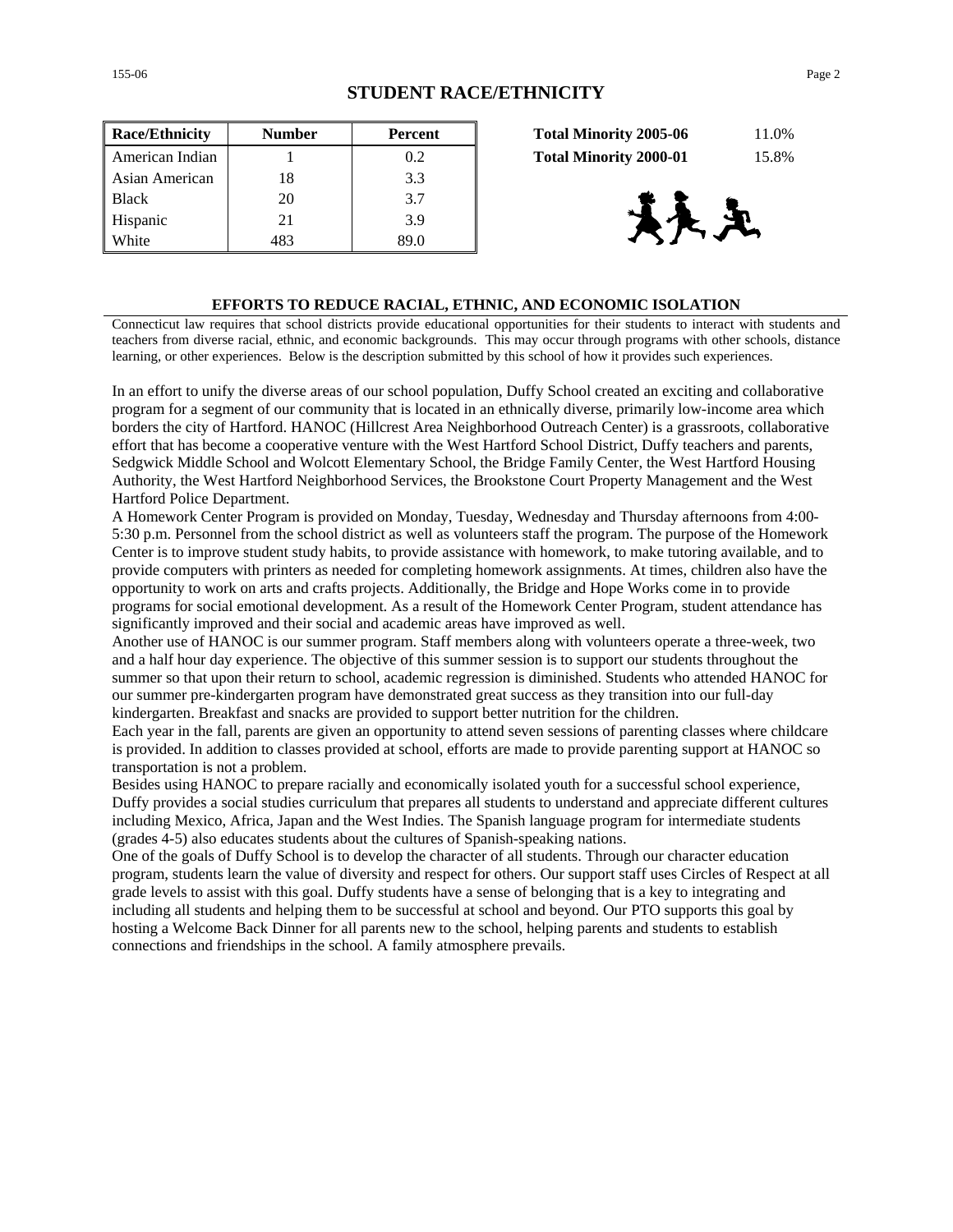| <b>Race/Ethnicity</b> | <b>Number</b> | <b>Percent</b> | 11.0%<br><b>Total Minority 2005-06</b> |
|-----------------------|---------------|----------------|----------------------------------------|
| American Indian       |               | 0.2            | 15.8%<br><b>Total Minority 2000-01</b> |
| Asian American        | 18            | 3.3            |                                        |
| <b>Black</b>          | 20            | 3.7            |                                        |
| Hispanic              | 21            | 3.9            | とや                                     |
| White                 | 483           | 89.0           |                                        |

| <b>Total Minority 2005-06</b> | 11.0% |
|-------------------------------|-------|
| <b>Total Minority 2000-01</b> | 15.8% |



### **EFFORTS TO REDUCE RACIAL, ETHNIC, AND ECONOMIC ISOLATION**

Connecticut law requires that school districts provide educational opportunities for their students to interact with students and teachers from diverse racial, ethnic, and economic backgrounds. This may occur through programs with other schools, distance learning, or other experiences. Below is the description submitted by this school of how it provides such experiences.

In an effort to unify the diverse areas of our school population, Duffy School created an exciting and collaborative program for a segment of our community that is located in an ethnically diverse, primarily low-income area which borders the city of Hartford. HANOC (Hillcrest Area Neighborhood Outreach Center) is a grassroots, collaborative effort that has become a cooperative venture with the West Hartford School District, Duffy teachers and parents, Sedgwick Middle School and Wolcott Elementary School, the Bridge Family Center, the West Hartford Housing Authority, the West Hartford Neighborhood Services, the Brookstone Court Property Management and the West Hartford Police Department.

A Homework Center Program is provided on Monday, Tuesday, Wednesday and Thursday afternoons from 4:00- 5:30 p.m. Personnel from the school district as well as volunteers staff the program. The purpose of the Homework Center is to improve student study habits, to provide assistance with homework, to make tutoring available, and to provide computers with printers as needed for completing homework assignments. At times, children also have the opportunity to work on arts and crafts projects. Additionally, the Bridge and Hope Works come in to provide programs for social emotional development. As a result of the Homework Center Program, student attendance has significantly improved and their social and academic areas have improved as well.

Another use of HANOC is our summer program. Staff members along with volunteers operate a three-week, two and a half hour day experience. The objective of this summer session is to support our students throughout the summer so that upon their return to school, academic regression is diminished. Students who attended HANOC for our summer pre-kindergarten program have demonstrated great success as they transition into our full-day kindergarten. Breakfast and snacks are provided to support better nutrition for the children.

Each year in the fall, parents are given an opportunity to attend seven sessions of parenting classes where childcare is provided. In addition to classes provided at school, efforts are made to provide parenting support at HANOC so transportation is not a problem.

Besides using HANOC to prepare racially and economically isolated youth for a successful school experience, Duffy provides a social studies curriculum that prepares all students to understand and appreciate different cultures including Mexico, Africa, Japan and the West Indies. The Spanish language program for intermediate students (grades 4-5) also educates students about the cultures of Spanish-speaking nations.

One of the goals of Duffy School is to develop the character of all students. Through our character education program, students learn the value of diversity and respect for others. Our support staff uses Circles of Respect at all grade levels to assist with this goal. Duffy students have a sense of belonging that is a key to integrating and including all students and helping them to be successful at school and beyond. Our PTO supports this goal by hosting a Welcome Back Dinner for all parents new to the school, helping parents and students to establish connections and friendships in the school. A family atmosphere prevails.

155-06 Page 2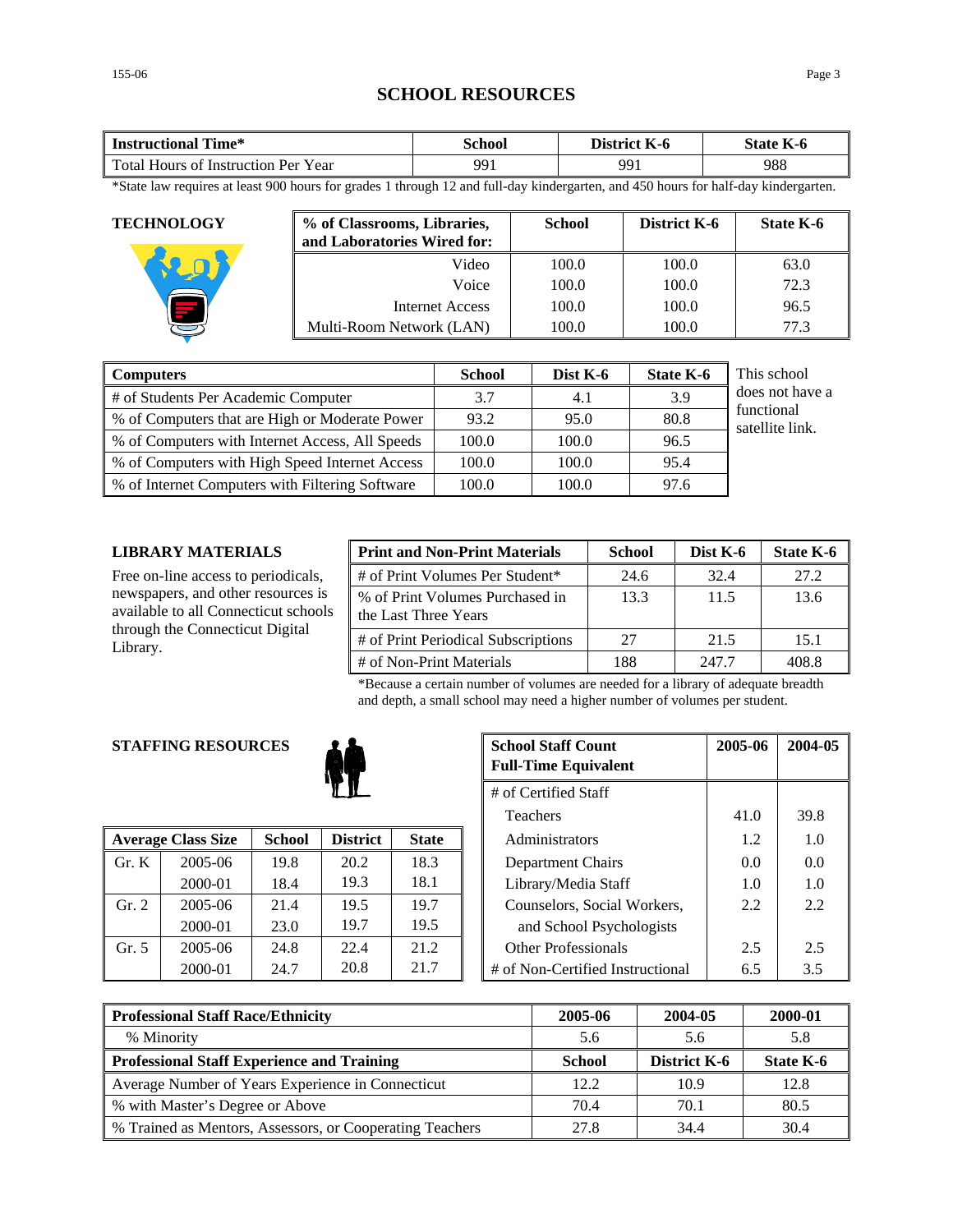## **SCHOOL RESOURCES**

| Time*                               | `chool | District | $-$              |
|-------------------------------------|--------|----------|------------------|
| <b>Instructional</b>                |        | K-0      | <b>State K-6</b> |
| Total Hours of Instruction Per Year | 991    | QQ.      | 988              |

\*State law requires at least 900 hours for grades 1 through 12 and full-day kindergarten, and 450 hours for half-day kindergarten.

| <b>TECHNOLOGY</b> | % of Classrooms, Libraries,<br>and Laboratories Wired for: | <b>School</b> | District K-6 | State K-6 |
|-------------------|------------------------------------------------------------|---------------|--------------|-----------|
|                   | Video                                                      | 100.0         | 100.0        | 63.0      |
|                   | Voice                                                      | 100.0         | 100.0        | 72.3      |
|                   | Internet Access                                            | 100.0         | 100.0        | 96.5      |
|                   | Multi-Room Network (LAN)                                   | 100.0         | 100.0        | 77.3      |

| <b>Computers</b>                                | <b>School</b> | Dist $K-6$ | <b>State K-6</b> | This school                   |
|-------------------------------------------------|---------------|------------|------------------|-------------------------------|
| # of Students Per Academic Computer             | 3.7           | 4.1        | 3.9              | does not have a               |
| % of Computers that are High or Moderate Power  | 93.2          | 95.0       | 80.8             | functional<br>satellite link. |
| % of Computers with Internet Access, All Speeds | 100.0         | 100.0      | 96.5             |                               |
| % of Computers with High Speed Internet Access  | 100.0         | 100.0      | 95.4             |                               |
| % of Internet Computers with Filtering Software | 100.0         | 100.0      | 97.6             |                               |

### **LIBRARY MATERIALS**

Free on-line access to periodicals, newspapers, and other resources is available to all Connecticut schools through the Connecticut Digital Library.

| <b>Print and Non-Print Materials</b>                    | <b>School</b> | Dist K-6 | State K-6 |
|---------------------------------------------------------|---------------|----------|-----------|
| # of Print Volumes Per Student*                         | 24.6          | 32.4     | 27.2      |
| % of Print Volumes Purchased in<br>the Last Three Years | 13.3          | 11.5     | 13.6      |
| # of Print Periodical Subscriptions                     | 27            | 21.5     | 15.1      |
| # of Non-Print Materials                                | 188           | 247.7    | 408.8     |

\*Because a certain number of volumes are needed for a library of adequate breadth and depth, a small school may need a higher number of volumes per student.

## **STAFFING RESOURCES**



|       | <b>Average Class Size</b> | <b>School</b> | <b>District</b> | <b>State</b> | Administrators                   | 1.2 | 1.0           |
|-------|---------------------------|---------------|-----------------|--------------|----------------------------------|-----|---------------|
| Gr. K | $2005 - 06$               | 19.8          | 20.2            | 18.3         | Department Chairs                | 0.0 | 0.0           |
|       | 2000-01                   | 18.4          | 19.3            | 18.1         | Library/Media Staff              | 1.0 | 1.0           |
| Gr. 2 | 2005-06                   | 21.4          | 19.5            | 19.7         | Counselors, Social Workers,      | 2.2 | 2.2           |
|       | 2000-01                   | 23.0          | 19.7            | 19.5         | and School Psychologists         |     |               |
| Gr. 5 | 2005-06                   | 24.8          | 22.4            | 21.2         | <b>Other Professionals</b>       | 2.5 | 2.5           |
|       | 2000-01                   | 24.7          | 20.8            | 21.7         | # of Non-Certified Instructional | 6.5 | $3.5^{\circ}$ |

| <b>G RESOURCES</b> |               |                      |              |  | <b>School Staff Count</b><br><b>Full-Time Equivalent</b> | 2005-06 | 2004-05 |
|--------------------|---------------|----------------------|--------------|--|----------------------------------------------------------|---------|---------|
|                    |               | # of Certified Staff |              |  |                                                          |         |         |
|                    |               |                      |              |  | <b>Teachers</b>                                          | 41.0    | 39.8    |
| 'lass Size         | <b>School</b> | <b>District</b>      | <b>State</b> |  | Administrators                                           | 1.2     | 1.0     |
| 2005-06            | 19.8          | 20.2                 | 18.3         |  | Department Chairs                                        | 0.0     | 0.0     |
| 2000-01            | 18.4          | 19.3                 | 18.1         |  | Library/Media Staff                                      | 1.0     | 1.0     |
| 2005-06            | 21.4          | 19.5                 | 19.7         |  | Counselors, Social Workers,                              | 2.2     | 2.2     |
| 2000-01            | 23.0          | 19.7                 | 19.5         |  | and School Psychologists                                 |         |         |
| 2005-06            | 24.8          | 22.4                 | 21.2         |  | <b>Other Professionals</b>                               | 2.5     | 2.5     |
| 2000-01            | 24.7          | 20.8                 | 21.7         |  | # of Non-Certified Instructional                         | 6.5     | 3.5     |

| <b>Professional Staff Race/Ethnicity</b>                 | 2005-06       | 2004-05             | 2000-01   |
|----------------------------------------------------------|---------------|---------------------|-----------|
| % Minority                                               | 5.6           | 5.6                 | 5.8       |
| <b>Professional Staff Experience and Training</b>        | <b>School</b> | <b>District K-6</b> | State K-6 |
| Average Number of Years Experience in Connecticut        | 12.2          | 10.9                | 12.8      |
| % with Master's Degree or Above                          | 70.4          | 70.1                | 80.5      |
| % Trained as Mentors, Assessors, or Cooperating Teachers | 27.8          | 34.4                | 30.4      |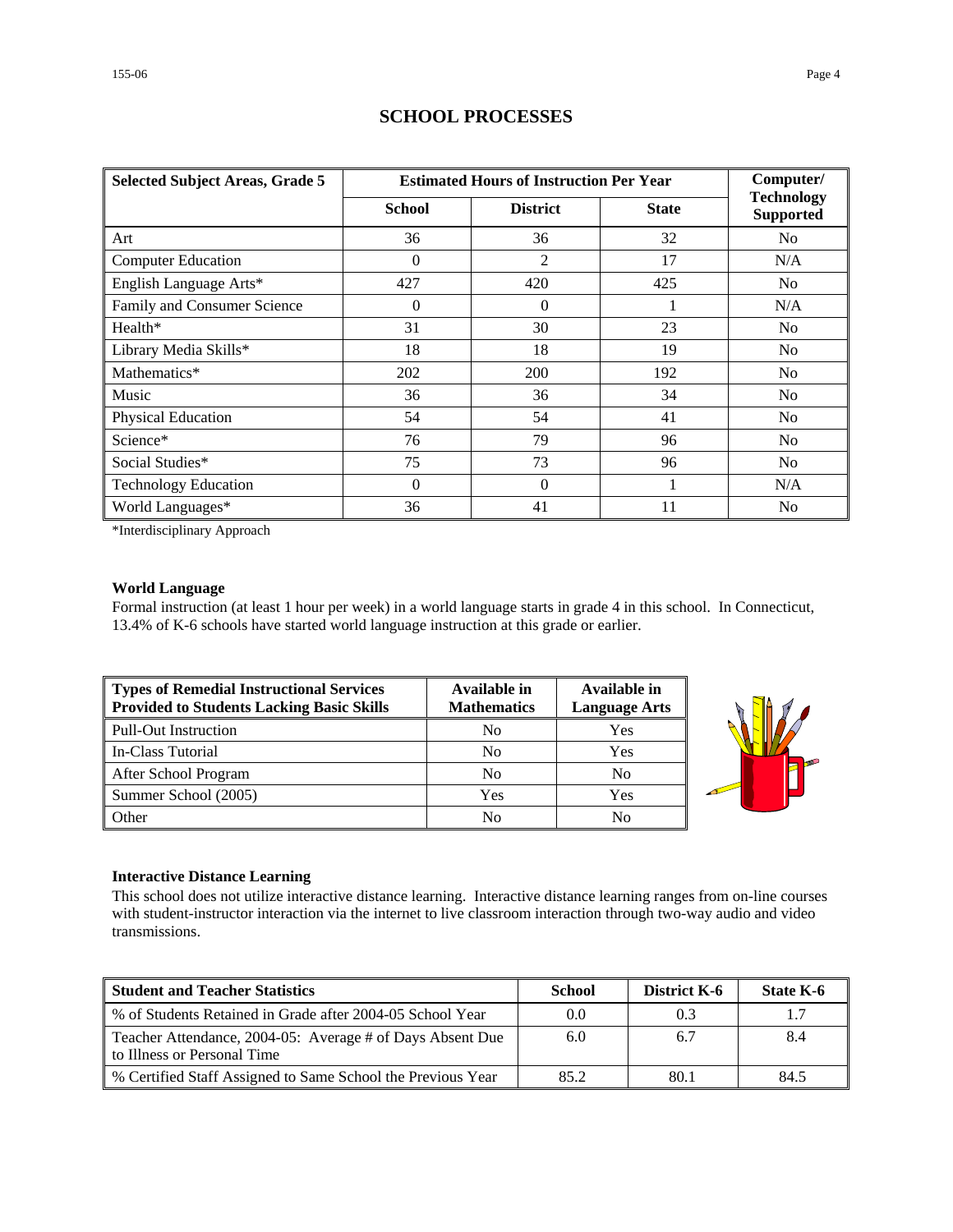| <b>Selected Subject Areas, Grade 5</b> | <b>Estimated Hours of Instruction Per Year</b> | Computer/       |              |                                       |
|----------------------------------------|------------------------------------------------|-----------------|--------------|---------------------------------------|
|                                        | <b>School</b>                                  | <b>District</b> | <b>State</b> | <b>Technology</b><br><b>Supported</b> |
| Art                                    | 36                                             | 36              | 32           | N <sub>0</sub>                        |
| <b>Computer Education</b>              | $\Omega$                                       | 2               | 17           | N/A                                   |
| English Language Arts*                 | 427                                            | 420             | 425          | No                                    |
| Family and Consumer Science            | $\Omega$                                       | $\Omega$        |              | N/A                                   |
| Health*                                | 31                                             | 30              | 23           | No                                    |
| Library Media Skills*                  | 18                                             | 18              | 19           | N <sub>0</sub>                        |
| Mathematics*                           | 202                                            | 200             | 192          | No                                    |
| Music                                  | 36                                             | 36              | 34           | N <sub>0</sub>                        |
| Physical Education                     | 54                                             | 54              | 41           | No                                    |
| Science*                               | 76                                             | 79              | 96           | N <sub>0</sub>                        |
| Social Studies*                        | 75                                             | 73              | 96           | No                                    |
| <b>Technology Education</b>            | $\Omega$                                       | $\overline{0}$  |              | N/A                                   |
| World Languages*                       | 36                                             | 41              | 11           | N <sub>0</sub>                        |

## **SCHOOL PROCESSES**

\*Interdisciplinary Approach

## **World Language**

Formal instruction (at least 1 hour per week) in a world language starts in grade 4 in this school. In Connecticut, 13.4% of K-6 schools have started world language instruction at this grade or earlier.

| Types of Remedial Instructional Services<br><b>Provided to Students Lacking Basic Skills</b> | Available in<br><b>Mathematics</b> | Available in<br><b>Language Arts</b> |
|----------------------------------------------------------------------------------------------|------------------------------------|--------------------------------------|
| Pull-Out Instruction                                                                         | No                                 | Yes                                  |
| In-Class Tutorial                                                                            | N <sub>0</sub>                     | Yes                                  |
| After School Program                                                                         | N <sub>0</sub>                     | No                                   |
| Summer School (2005)                                                                         | Yes                                | Yes                                  |
| Other                                                                                        | No                                 | No                                   |



### **Interactive Distance Learning**

This school does not utilize interactive distance learning. Interactive distance learning ranges from on-line courses with student-instructor interaction via the internet to live classroom interaction through two-way audio and video transmissions.

| <b>Student and Teacher Statistics</b>                                                    | <b>School</b> | <b>District K-6</b> | State K-6 |
|------------------------------------------------------------------------------------------|---------------|---------------------|-----------|
| % of Students Retained in Grade after 2004-05 School Year                                | 0.0           | 0.3                 | 1.7       |
| Teacher Attendance, 2004-05: Average # of Days Absent Due<br>to Illness or Personal Time | 6.0           | 6.7                 | 8.4       |
| % Certified Staff Assigned to Same School the Previous Year                              | 85.2          | 80.1                | 84.5      |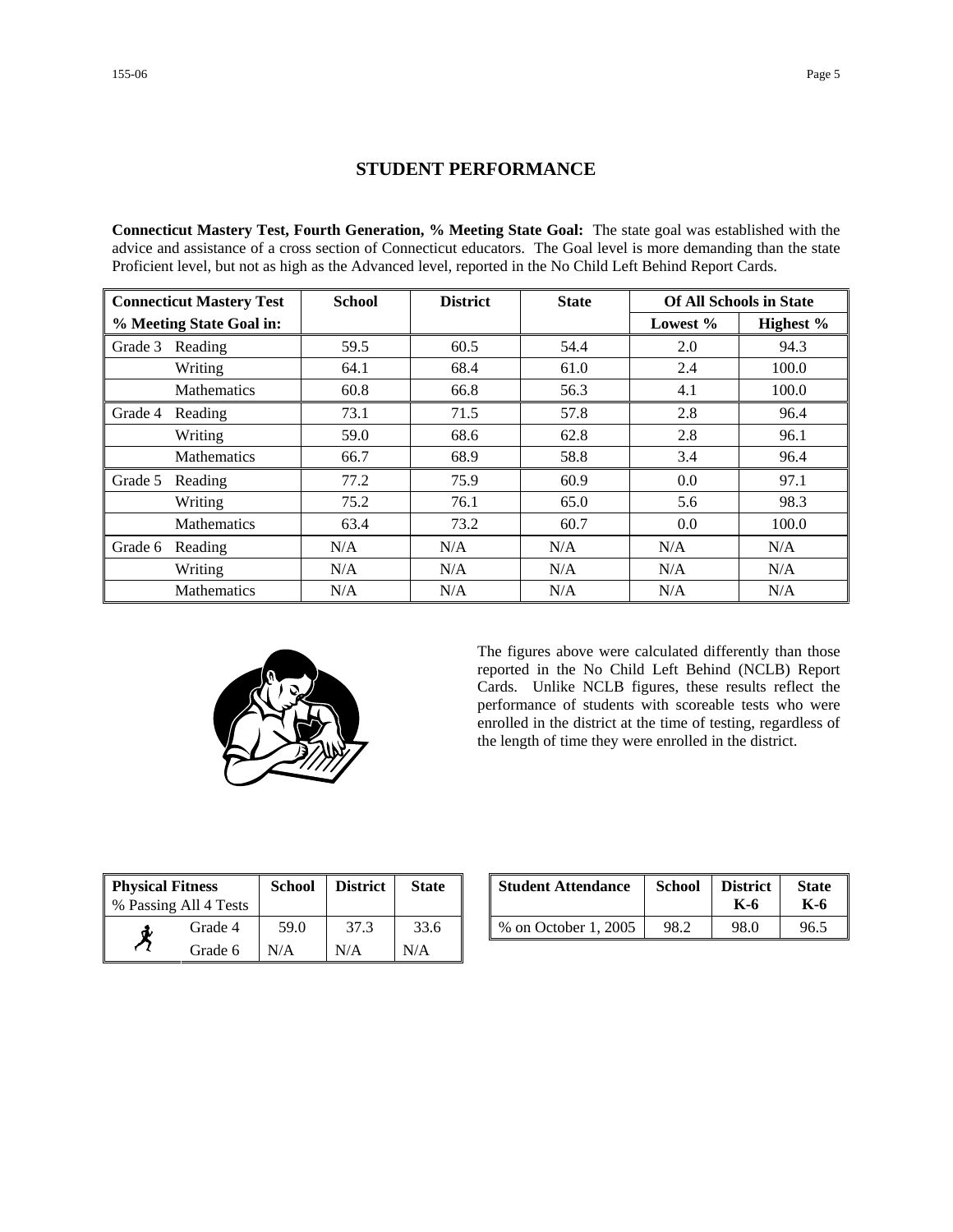### **STUDENT PERFORMANCE**

**Connecticut Mastery Test, Fourth Generation, % Meeting State Goal:** The state goal was established with the advice and assistance of a cross section of Connecticut educators. The Goal level is more demanding than the state Proficient level, but not as high as the Advanced level, reported in the No Child Left Behind Report Cards.

| <b>Connecticut Mastery Test</b> |                    | <b>School</b> | <b>District</b> | <b>State</b> | <b>Of All Schools in State</b> |           |
|---------------------------------|--------------------|---------------|-----------------|--------------|--------------------------------|-----------|
| % Meeting State Goal in:        |                    |               |                 |              | Lowest $%$                     | Highest % |
| Grade 3                         | Reading            | 59.5          | 60.5            | 54.4         | 2.0                            | 94.3      |
|                                 | Writing            | 64.1          | 68.4            | 61.0         | 2.4                            | 100.0     |
|                                 | <b>Mathematics</b> | 60.8          | 66.8            | 56.3         | 4.1                            | 100.0     |
| Grade 4                         | Reading            | 73.1          | 71.5            | 57.8         | 2.8                            | 96.4      |
|                                 | Writing            | 59.0          | 68.6            | 62.8         | 2.8                            | 96.1      |
|                                 | Mathematics        | 66.7          | 68.9            | 58.8         | 3.4                            | 96.4      |
| Grade 5                         | Reading            | 77.2          | 75.9            | 60.9         | 0.0                            | 97.1      |
|                                 | Writing            | 75.2          | 76.1            | 65.0         | 5.6                            | 98.3      |
|                                 | <b>Mathematics</b> | 63.4          | 73.2            | 60.7         | 0.0                            | 100.0     |
| Grade 6                         | Reading            | N/A           | N/A             | N/A          | N/A                            | N/A       |
|                                 | Writing            | N/A           | N/A             | N/A          | N/A                            | N/A       |
|                                 | <b>Mathematics</b> | N/A           | N/A             | N/A          | N/A                            | N/A       |



The figures above were calculated differently than those reported in the No Child Left Behind (NCLB) Report Cards. Unlike NCLB figures, these results reflect the performance of students with scoreable tests who were enrolled in the district at the time of testing, regardless of the length of time they were enrolled in the district.

| <b>Physical Fitness</b> |         | <b>School</b> | <b>District</b> | <b>State</b> |
|-------------------------|---------|---------------|-----------------|--------------|
| % Passing All 4 Tests   |         |               |                 |              |
|                         | Grade 4 | 59.0          | 37.3            | 33.6         |
|                         | Grade 6 | N/A           | N/A             | N/A          |

| ness<br>.11 4 Tests | School | <b>District</b> | <b>State</b> | <b>Student Attendance</b> | <b>School</b> | <b>District</b><br>K-6 | <b>State</b><br>K-6 |
|---------------------|--------|-----------------|--------------|---------------------------|---------------|------------------------|---------------------|
| Grade 4             | 59.0   | 37.3            | 33.6         | % on October 1, 2005      | 98.2          | 98.0                   | 96.5                |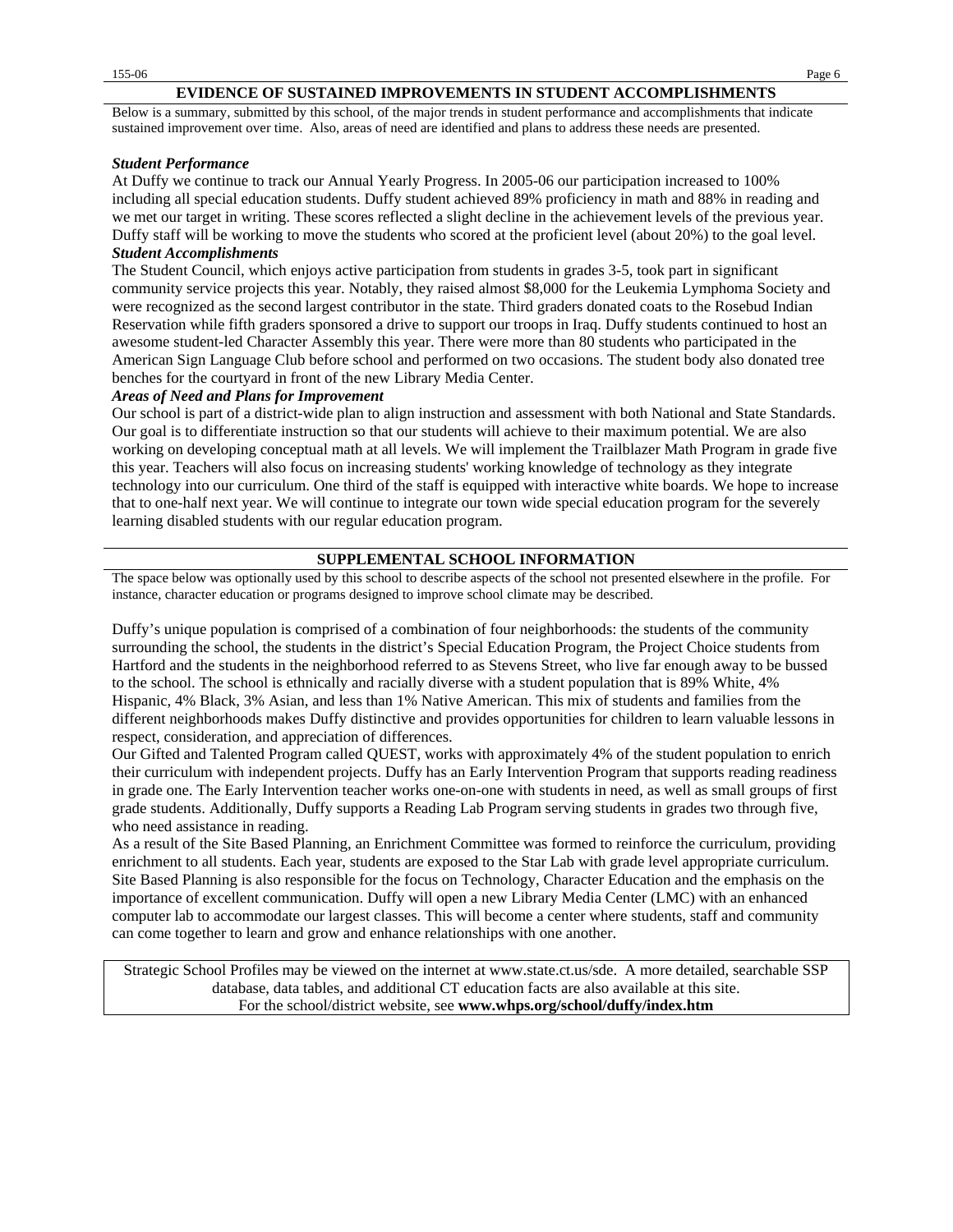### **EVIDENCE OF SUSTAINED IMPROVEMENTS IN STUDENT ACCOMPLISHMENTS**

Below is a summary, submitted by this school, of the major trends in student performance and accomplishments that indicate sustained improvement over time. Also, areas of need are identified and plans to address these needs are presented.

#### *Student Performance*

At Duffy we continue to track our Annual Yearly Progress. In 2005-06 our participation increased to 100% including all special education students. Duffy student achieved 89% proficiency in math and 88% in reading and we met our target in writing. These scores reflected a slight decline in the achievement levels of the previous year. Duffy staff will be working to move the students who scored at the proficient level (about 20%) to the goal level. *Student Accomplishments*

The Student Council, which enjoys active participation from students in grades 3-5, took part in significant community service projects this year. Notably, they raised almost \$8,000 for the Leukemia Lymphoma Society and were recognized as the second largest contributor in the state. Third graders donated coats to the Rosebud Indian Reservation while fifth graders sponsored a drive to support our troops in Iraq. Duffy students continued to host an awesome student-led Character Assembly this year. There were more than 80 students who participated in the American Sign Language Club before school and performed on two occasions. The student body also donated tree benches for the courtyard in front of the new Library Media Center.

#### *Areas of Need and Plans for Improvement*

Our school is part of a district-wide plan to align instruction and assessment with both National and State Standards. Our goal is to differentiate instruction so that our students will achieve to their maximum potential. We are also working on developing conceptual math at all levels. We will implement the Trailblazer Math Program in grade five this year. Teachers will also focus on increasing students' working knowledge of technology as they integrate technology into our curriculum. One third of the staff is equipped with interactive white boards. We hope to increase that to one-half next year. We will continue to integrate our town wide special education program for the severely learning disabled students with our regular education program.

#### **SUPPLEMENTAL SCHOOL INFORMATION**

The space below was optionally used by this school to describe aspects of the school not presented elsewhere in the profile. For instance, character education or programs designed to improve school climate may be described.

Duffy's unique population is comprised of a combination of four neighborhoods: the students of the community surrounding the school, the students in the district's Special Education Program, the Project Choice students from Hartford and the students in the neighborhood referred to as Stevens Street, who live far enough away to be bussed to the school. The school is ethnically and racially diverse with a student population that is 89% White, 4% Hispanic, 4% Black, 3% Asian, and less than 1% Native American. This mix of students and families from the different neighborhoods makes Duffy distinctive and provides opportunities for children to learn valuable lessons in respect, consideration, and appreciation of differences.

Our Gifted and Talented Program called QUEST, works with approximately 4% of the student population to enrich their curriculum with independent projects. Duffy has an Early Intervention Program that supports reading readiness in grade one. The Early Intervention teacher works one-on-one with students in need, as well as small groups of first grade students. Additionally, Duffy supports a Reading Lab Program serving students in grades two through five, who need assistance in reading.

As a result of the Site Based Planning, an Enrichment Committee was formed to reinforce the curriculum, providing enrichment to all students. Each year, students are exposed to the Star Lab with grade level appropriate curriculum. Site Based Planning is also responsible for the focus on Technology, Character Education and the emphasis on the importance of excellent communication. Duffy will open a new Library Media Center (LMC) with an enhanced computer lab to accommodate our largest classes. This will become a center where students, staff and community can come together to learn and grow and enhance relationships with one another.

Strategic School Profiles may be viewed on the internet at www.state.ct.us/sde. A more detailed, searchable SSP database, data tables, and additional CT education facts are also available at this site. For the school/district website, see **www.whps.org/school/duffy/index.htm**